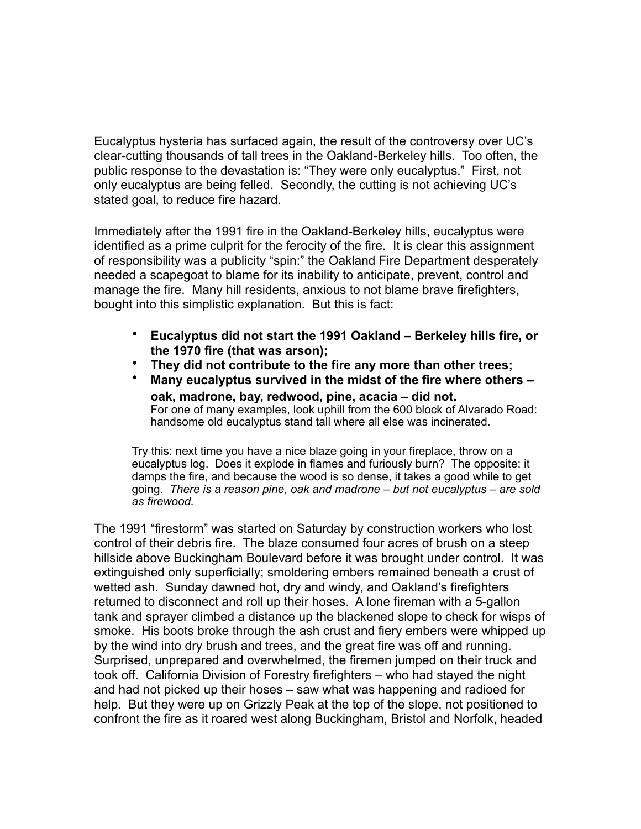Eucalyptus hysteria has surfaced again, the result of the controversy over UC's clear-cutting thousands of tall trees in the Oakland-Berkeley hills. Too often, the public response to the devastation is: "They were only eucalyptus." First, not only eucalyptus are being felled. Secondly, the cutting is not achieving UC's stated goal, to reduce fire hazard.

Immediately after the 1991 fire in the Oakland-Berkeley hills, eucalyptus were identified as a prime culprit for the ferocity of the fire. It is clear this assignment of responsibility was a publicity "spin:" the Oakland Fire Department desperately needed a scapegoat to blame for its inability to anticipate, prevent, control and manage the fire. Many hill residents, anxious to not blame brave firefighters, bought into this simplistic explanation. But this is fact:

- **Eucalyptus did not start the 1991 Oakland Berkeley hills fire, or the 1970 fire (that was arson);**
- **They did not contribute to the fire any more than other trees;**
- **Many eucalyptus survived in the midst of the fire where others oak, madrone, bay, redwood, pine, acacia – did not.**<br>For one of many examples, look uphill from the 600 block of Alvarado Road: handsome old eucalyptus stand tall where all else was incinerated.

Try this: next time you have a nice blaze going in your fireplace, throw on a eucalyptus log. Does it explode in flames and furiously burn? The opposite: it damps the fire, and because the wood is so dense, it takes a good while to get going. *There is a reason pine, oak and madrone – but not eucalyptus – are sold as firewood.* 

The 1991 "firestorm" was started on Saturday by construction workers who lost control of their debris fire. The blaze consumed four acres of brush on a steep hillside above Buckingham Boulevard before it was brought under control. It was extinguished only superficially; smoldering embers remained beneath a crust of wetted ash. Sunday dawned hot, dry and windy, and Oakland's firefighters returned to disconnect and roll up their hoses. A lone fireman with a 5-gallon tank and sprayer climbed a distance up the blackened slope to check for wisps of smoke. His boots broke through the ash crust and fiery embers were whipped up by the wind into dry brush and trees, and the great fire was off and running. Surprised, unprepared and overwhelmed, the firemen jumped on their truck and took off. California Division of Forestry firefighters – who had stayed the night and had not picked up their hoses – saw what was happening and radioed for help. But they were up on Grizzly Peak at the top of the slope, not positioned to confront the fire as it roared west along Buckingham, Bristol and Norfolk, headed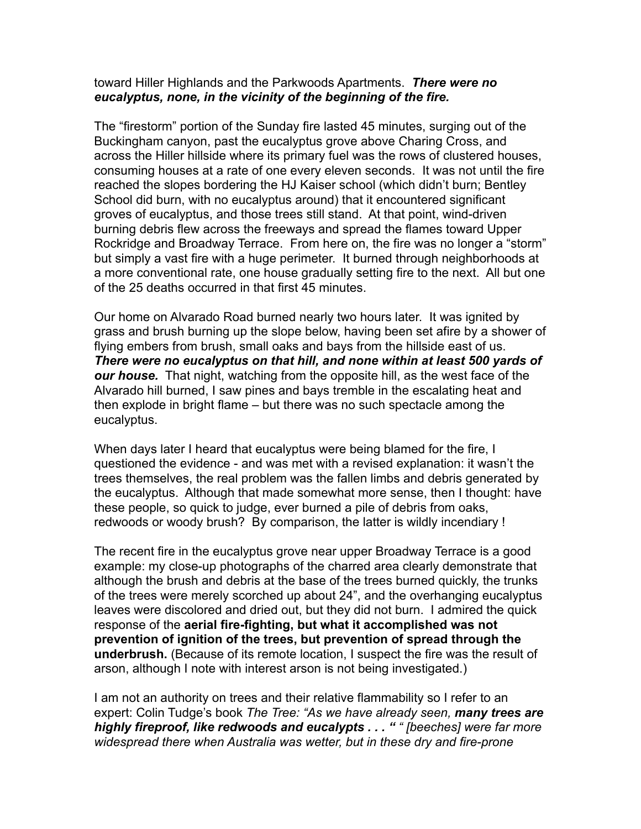## toward Hiller Highlands and the Parkwoods Apartments. *There were no eucalyptus, none, in the vicinity of the beginning of the fire.*

The "firestorm" portion of the Sunday fire lasted 45 minutes, surging out of the Buckingham canyon, past the eucalyptus grove above Charing Cross, and across the Hiller hillside where its primary fuel was the rows of clustered houses, consuming houses at a rate of one every eleven seconds. It was not until the fire reached the slopes bordering the HJ Kaiser school (which didn't burn; Bentley School did burn, with no eucalyptus around) that it encountered significant groves of eucalyptus, and those trees still stand. At that point, wind-driven burning debris flew across the freeways and spread the flames toward Upper Rockridge and Broadway Terrace. From here on, the fire was no longer a "storm" but simply a vast fire with a huge perimeter. It burned through neighborhoods at a more conventional rate, one house gradually setting fire to the next. All but one of the 25 deaths occurred in that first 45 minutes.

Our home on Alvarado Road burned nearly two hours later. It was ignited by grass and brush burning up the slope below, having been set afire by a shower of flying embers from brush, small oaks and bays from the hillside east of us. *There were no eucalyptus on that hill, and none within at least 500 yards of our house.* That night, watching from the opposite hill, as the west face of the Alvarado hill burned, I saw pines and bays tremble in the escalating heat and then explode in bright flame – but there was no such spectacle among the eucalyptus.

When days later I heard that eucalyptus were being blamed for the fire, I questioned the evidence - and was met with a revised explanation: it wasn't the trees themselves, the real problem was the fallen limbs and debris generated by the eucalyptus. Although that made somewhat more sense, then I thought: have these people, so quick to judge, ever burned a pile of debris from oaks, redwoods or woody brush? By comparison, the latter is wildly incendiary !

The recent fire in the eucalyptus grove near upper Broadway Terrace is a good example: my close-up photographs of the charred area clearly demonstrate that although the brush and debris at the base of the trees burned quickly, the trunks of the trees were merely scorched up about 24", and the overhanging eucalyptus leaves were discolored and dried out, but they did not burn. I admired the quick response of the **aerial fire-fighting, but what it accomplished was not prevention of ignition of the trees, but prevention of spread through the underbrush.** (Because of its remote location, I suspect the fire was the result of arson, although I note with interest arson is not being investigated.)

I am not an authority on trees and their relative flammability so I refer to an expert: Colin Tudge's book *The Tree: "As we have already seen, many trees are highly fireproof, like redwoods and eucalypts . . . " " [beeches] were far more widespread there when Australia was wetter, but in these dry and fire-prone*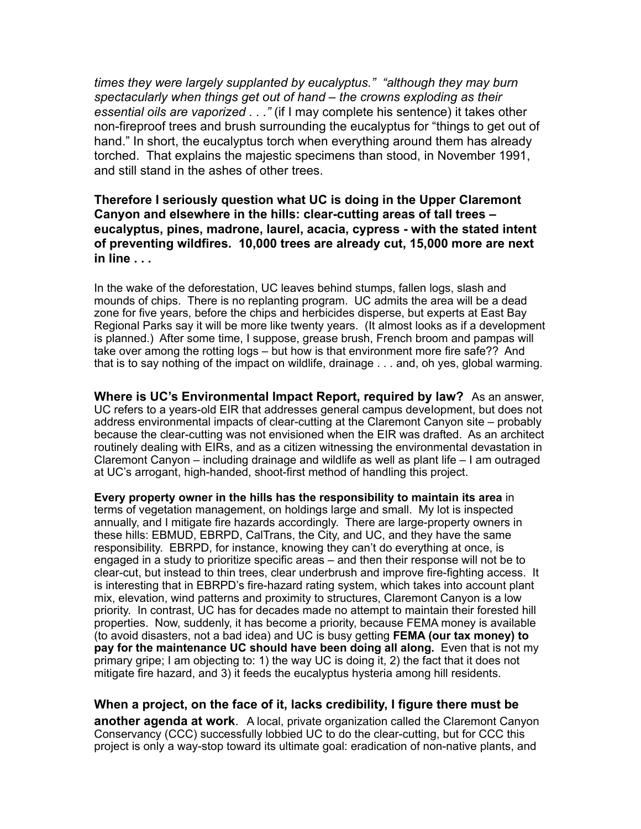*times they were largely supplanted by eucalyptus." "although they may burn spectacularly when things get out of hand – the crowns exploding as their essential oils are vaporized . . ."* (if I may complete his sentence) it takes other non-fireproof trees and brush surrounding the eucalyptus for "things to get out of hand." In short, the eucalyptus torch when everything around them has already torched. That explains the majestic specimens than stood, in November 1991, and still stand in the ashes of other trees.

## **Therefore I seriously question what UC is doing in the Upper Claremont Canyon and elsewhere in the hills: clear-cutting areas of tall trees – eucalyptus, pines, madrone, laurel, acacia, cypress - with the stated intent of preventing wildfires. 10,000 trees are already cut, 15,000 more are next in line . . .**

In the wake of the deforestation, UC leaves behind stumps, fallen logs, slash and mounds of chips. There is no replanting program. UC admits the area will be a dead zone for five years, before the chips and herbicides disperse, but experts at East Bay Regional Parks say it will be more like twenty years. (It almost looks as if a development is planned.) After some time, I suppose, grease brush, French broom and pampas will take over among the rotting logs – but how is that environment more fire safe?? And that is to say nothing of the impact on wildlife, drainage . . . and, oh yes, global warming.

**Where is UC's Environmental Impact Report, required by law?** As an answer, UC refers to a years-old EIR that addresses general campus deveIopment, but does not address environmental impacts of clear-cutting at the Claremont Canyon site – probably because the clear-cutting was not envisioned when the EIR was drafted. As an architect routinely dealing with EIRs, and as a citizen witnessing the environmental devastation in Claremont Canyon – including drainage and wildlife as well as plant life – I am outraged at UC's arrogant, high-handed, shoot-first method of handling this project.

**Every property owner in the hills has the responsibility to maintain its area** in terms of vegetation management, on holdings large and small. My lot is inspected annually, and I mitigate fire hazards accordingly. There are large-property owners in these hills: EBMUD, EBRPD, CalTrans, the City, and UC, and they have the same responsibility. EBRPD, for instance, knowing they can't do everything at once, is engaged in a study to prioritize specific areas – and then their response will not be to clear-cut, but instead to thin trees, clear underbrush and improve fire-fighting access. It is interesting that in EBRPD's fire-hazard rating system, which takes into account plant mix, elevation, wind patterns and proximity to structures, Claremont Canyon is a low priority. In contrast, UC has for decades made no attempt to maintain their forested hill properties. Now, suddenly, it has become a priority, because FEMA money is available (to avoid disasters, not a bad idea) and UC is busy getting **FEMA (our tax money) to pay for the maintenance UC should have been doing all along.** Even that is not my primary gripe; I am objecting to: 1) the way UC is doing it, 2) the fact that it does not mitigate fire hazard, and 3) it feeds the eucalyptus hysteria among hill residents.

**When a project, on the face of it, lacks credibility, I figure there must be another agenda at work**. A local, private organization called the Claremont Canyon Conservancy (CCC) successfully lobbied UC to do the clear-cutting, but for CCC this project is only a way-stop toward its ultimate goal: eradication of non-native plants, and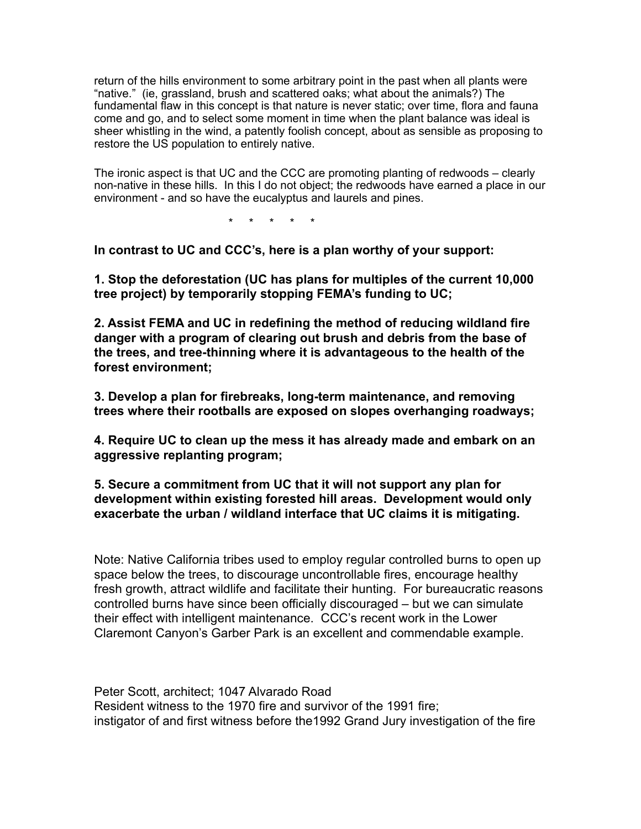return of the hills environment to some arbitrary point in the past when all plants were "native." (ie, grassland, brush and scattered oaks; what about the animals?) The fundamental flaw in this concept is that nature is never static; over time, flora and fauna come and go, and to select some moment in time when the plant balance was ideal is sheer whistling in the wind, a patently foolish concept, about as sensible as proposing to restore the US population to entirely native.

The ironic aspect is that UC and the CCC are promoting planting of redwoods – clearly non-native in these hills. In this I do not object; the redwoods have earned a place in our environment - and so have the eucalyptus and laurels and pines.

\* \* \* \* \*

**In contrast to UC and CCC's, here is a plan worthy of your support:** 

**1. Stop the deforestation (UC has plans for multiples of the current 10,000 tree project) by temporarily stopping FEMA's funding to UC;** 

**2. Assist FEMA and UC in redefining the method of reducing wildland fire danger with a program of clearing out brush and debris from the base of the trees, and tree-thinning where it is advantageous to the health of the forest environment;** 

**3. Develop a plan for firebreaks, long-term maintenance, and removing trees where their rootballs are exposed on slopes overhanging roadways;** 

**4. Require UC to clean up the mess it has already made and embark on an aggressive replanting program;** 

**5. Secure a commitment from UC that it will not support any plan for development within existing forested hill areas. Development would only exacerbate the urban / wildland interface that UC claims it is mitigating.** 

Note: Native California tribes used to employ regular controlled burns to open up space below the trees, to discourage uncontrollable fires, encourage healthy fresh growth, attract wildlife and facilitate their hunting. For bureaucratic reasons controlled burns have since been officially discouraged – but we can simulate their effect with intelligent maintenance. CCC's recent work in the Lower Claremont Canyon's Garber Park is an excellent and commendable example.

Peter Scott, architect; 1047 Alvarado Road Resident witness to the 1970 fire and survivor of the 1991 fire; instigator of and first witness before the1992 Grand Jury investigation of the fire